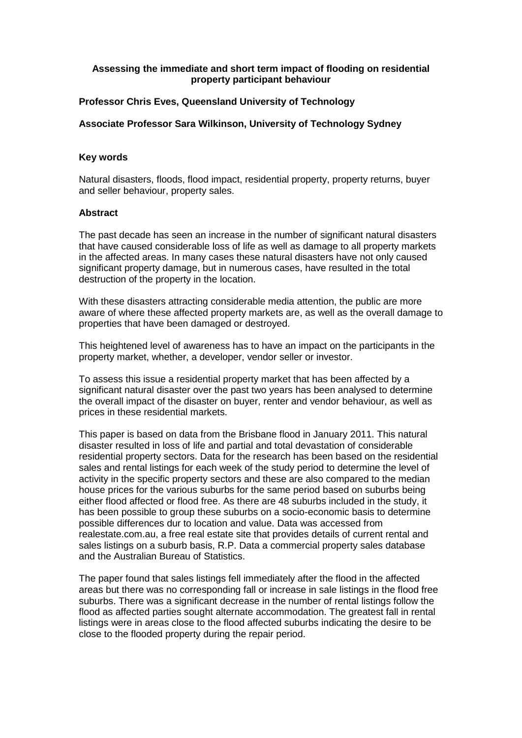# **Assessing the immediate and short term impact of flooding on residential property participant behaviour**

# **Professor Chris Eves, Queensland University of Technology**

### **Associate Professor Sara Wilkinson, University of Technology Sydney**

#### **Key words**

Natural disasters, floods, flood impact, residential property, property returns, buyer and seller behaviour, property sales.

#### **Abstract**

The past decade has seen an increase in the number of significant natural disasters that have caused considerable loss of life as well as damage to all property markets in the affected areas. In many cases these natural disasters have not only caused significant property damage, but in numerous cases, have resulted in the total destruction of the property in the location.

With these disasters attracting considerable media attention, the public are more aware of where these affected property markets are, as well as the overall damage to properties that have been damaged or destroyed.

This heightened level of awareness has to have an impact on the participants in the property market, whether, a developer, vendor seller or investor.

To assess this issue a residential property market that has been affected by a significant natural disaster over the past two years has been analysed to determine the overall impact of the disaster on buyer, renter and vendor behaviour, as well as prices in these residential markets.

This paper is based on data from the Brisbane flood in January 2011. This natural disaster resulted in loss of life and partial and total devastation of considerable residential property sectors. Data for the research has been based on the residential sales and rental listings for each week of the study period to determine the level of activity in the specific property sectors and these are also compared to the median house prices for the various suburbs for the same period based on suburbs being either flood affected or flood free. As there are 48 suburbs included in the study, it has been possible to group these suburbs on a socio-economic basis to determine possible differences dur to location and value. Data was accessed from realestate.com.au, a free real estate site that provides details of current rental and sales listings on a suburb basis, R.P. Data a commercial property sales database and the Australian Bureau of Statistics.

The paper found that sales listings fell immediately after the flood in the affected areas but there was no corresponding fall or increase in sale listings in the flood free suburbs. There was a significant decrease in the number of rental listings follow the flood as affected parties sought alternate accommodation. The greatest fall in rental listings were in areas close to the flood affected suburbs indicating the desire to be close to the flooded property during the repair period.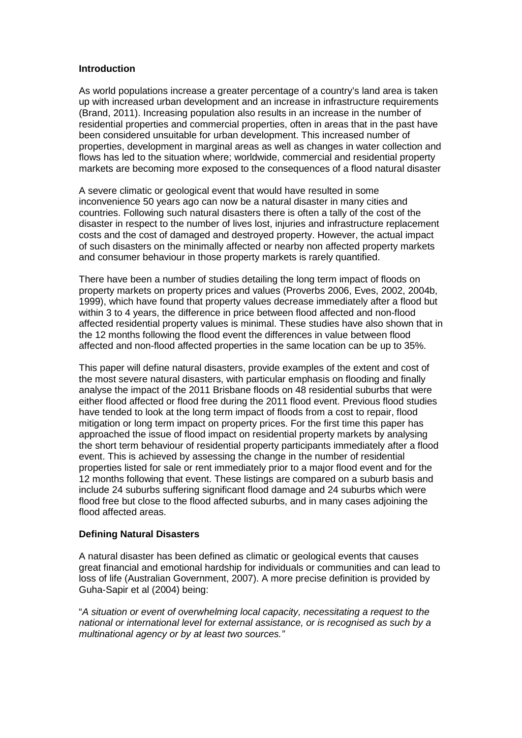### **Introduction**

As world populations increase a greater percentage of a country's land area is taken up with increased urban development and an increase in infrastructure requirements (Brand, 2011). Increasing population also results in an increase in the number of residential properties and commercial properties, often in areas that in the past have been considered unsuitable for urban development. This increased number of properties, development in marginal areas as well as changes in water collection and flows has led to the situation where; worldwide, commercial and residential property markets are becoming more exposed to the consequences of a flood natural disaster

A severe climatic or geological event that would have resulted in some inconvenience 50 years ago can now be a natural disaster in many cities and countries. Following such natural disasters there is often a tally of the cost of the disaster in respect to the number of lives lost, injuries and infrastructure replacement costs and the cost of damaged and destroyed property. However, the actual impact of such disasters on the minimally affected or nearby non affected property markets and consumer behaviour in those property markets is rarely quantified.

There have been a number of studies detailing the long term impact of floods on property markets on property prices and values (Proverbs 2006, Eves, 2002, 2004b, 1999), which have found that property values decrease immediately after a flood but within 3 to 4 years, the difference in price between flood affected and non-flood affected residential property values is minimal. These studies have also shown that in the 12 months following the flood event the differences in value between flood affected and non-flood affected properties in the same location can be up to 35%.

This paper will define natural disasters, provide examples of the extent and cost of the most severe natural disasters, with particular emphasis on flooding and finally analyse the impact of the 2011 Brisbane floods on 48 residential suburbs that were either flood affected or flood free during the 2011 flood event. Previous flood studies have tended to look at the long term impact of floods from a cost to repair, flood mitigation or long term impact on property prices. For the first time this paper has approached the issue of flood impact on residential property markets by analysing the short term behaviour of residential property participants immediately after a flood event. This is achieved by assessing the change in the number of residential properties listed for sale or rent immediately prior to a major flood event and for the 12 months following that event. These listings are compared on a suburb basis and include 24 suburbs suffering significant flood damage and 24 suburbs which were flood free but close to the flood affected suburbs, and in many cases adjoining the flood affected areas.

# **Defining Natural Disasters**

A natural disaster has been defined as climatic or geological events that causes great financial and emotional hardship for individuals or communities and can lead to loss of life (Australian Government, 2007). A more precise definition is provided by Guha-Sapir et al (2004) being:

"*A situation or event of overwhelming local capacity, necessitating a request to the national or international level for external assistance, or is recognised as such by a multinational agency or by at least two sources."*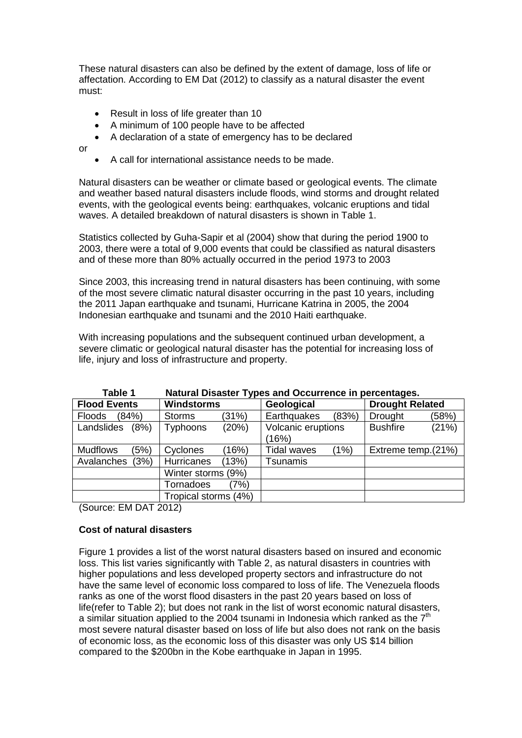These natural disasters can also be defined by the extent of damage, loss of life or affectation. According to EM Dat (2012) to classify as a natural disaster the event must:

- Result in loss of life greater than 10
- A minimum of 100 people have to be affected
- A declaration of a state of emergency has to be declared

or

• A call for international assistance needs to be made.

Natural disasters can be weather or climate based or geological events. The climate and weather based natural disasters include floods, wind storms and drought related events, with the geological events being: earthquakes, volcanic eruptions and tidal waves. A detailed breakdown of natural disasters is shown in Table 1.

Statistics collected by Guha-Sapir et al (2004) show that during the period 1900 to 2003, there were a total of 9,000 events that could be classified as natural disasters and of these more than 80% actually occurred in the period 1973 to 2003

Since 2003, this increasing trend in natural disasters has been continuing, with some of the most severe climatic natural disaster occurring in the past 10 years, including the 2011 Japan earthquake and tsunami, Hurricane Katrina in 2005, the 2004 Indonesian earthquake and tsunami and the 2010 Haiti earthquake.

With increasing populations and the subsequent continued urban development, a severe climatic or geological natural disaster has the potential for increasing loss of life, injury and loss of infrastructure and property.

| rapie i<br>Natural Disaster Types and Occurrence in percentages. |                        |                            |                          |  |  |
|------------------------------------------------------------------|------------------------|----------------------------|--------------------------|--|--|
| <b>Flood Events</b>                                              | <b>Windstorms</b>      | Geological                 | <b>Drought Related</b>   |  |  |
| (84%)<br><b>Floods</b>                                           | (31%)<br><b>Storms</b> | Earthquakes<br>(83%)       | (58%)<br><b>Drought</b>  |  |  |
| Landslides<br>(8%)                                               | (20%)<br>Typhoons      | Volcanic eruptions         | (21%)<br><b>Bushfire</b> |  |  |
|                                                                  |                        | (16%)                      |                          |  |  |
| <b>Mudflows</b><br>(5%)                                          | (16%)<br>Cyclones      | (1%)<br><b>Tidal waves</b> | Extreme temp.(21%)       |  |  |
| (3%)<br>Avalanches                                               | Hurricanes<br>(13%)    | Tsunamis                   |                          |  |  |
|                                                                  | Winter storms (9%)     |                            |                          |  |  |
|                                                                  | Tornadoes<br>7%)       |                            |                          |  |  |
|                                                                  | Tropical storms (4%)   |                            |                          |  |  |

**Table 1 Natural Disaster Types and Occurrence in percentages.**

(Source: EM DAT 2012)

# **Cost of natural disasters**

Figure 1 provides a list of the worst natural disasters based on insured and economic loss. This list varies significantly with Table 2, as natural disasters in countries with higher populations and less developed property sectors and infrastructure do not have the same level of economic loss compared to loss of life. The Venezuela floods ranks as one of the worst flood disasters in the past 20 years based on loss of life(refer to Table 2); but does not rank in the list of worst economic natural disasters, a similar situation applied to the 2004 tsunami in Indonesia which ranked as the  $7<sup>th</sup>$ most severe natural disaster based on loss of life but also does not rank on the basis of economic loss, as the economic loss of this disaster was only US \$14 billion compared to the \$200bn in the Kobe earthquake in Japan in 1995.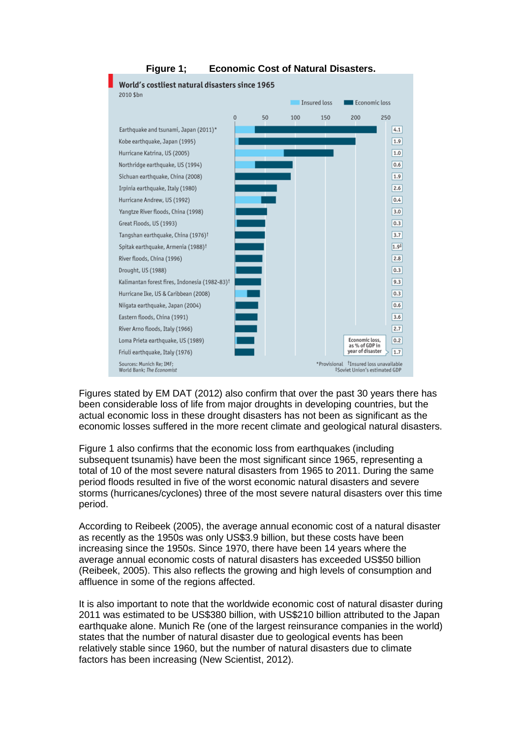

# **Figure 1; Economic Cost of Natural Disasters.**

Figures stated by EM DAT (2012) also confirm that over the past 30 years there has been considerable loss of life from major droughts in developing countries, but the actual economic loss in these drought disasters has not been as significant as the economic losses suffered in the more recent climate and geological natural disasters.

Figure 1 also confirms that the economic loss from earthquakes (including subsequent tsunamis) have been the most significant since 1965, representing a total of 10 of the most severe natural disasters from 1965 to 2011. During the same period floods resulted in five of the worst economic natural disasters and severe storms (hurricanes/cyclones) three of the most severe natural disasters over this time period.

According to Reibeek (2005), the average annual economic cost of a natural disaster as recently as the 1950s was only US\$3.9 billion, but these costs have been increasing since the 1950s. Since 1970, there have been 14 years where the average annual economic costs of natural disasters has exceeded US\$50 billion (Reibeek, 2005). This also reflects the growing and high levels of consumption and affluence in some of the regions affected.

It is also important to note that the worldwide economic cost of natural disaster during 2011 was estimated to be US\$380 billion, with US\$210 billion attributed to the Japan earthquake alone. Munich Re (one of the largest reinsurance companies in the world) states that the number of natural disaster due to geological events has been relatively stable since 1960, but the number of natural disasters due to climate factors has been increasing (New Scientist, 2012).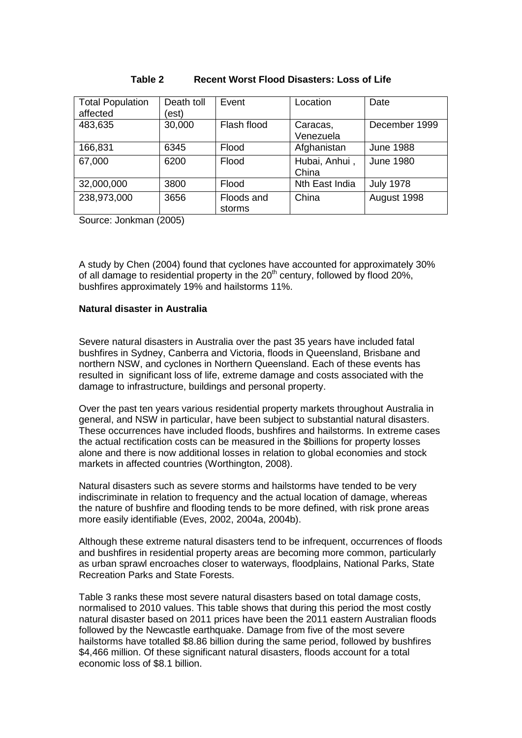| <b>Total Population</b><br>affected | Death toll<br>est) | Event                | Location               | Date             |
|-------------------------------------|--------------------|----------------------|------------------------|------------------|
| 483,635                             | 30,000             | Flash flood          | Caracas,<br>Venezuela  | December 1999    |
| 166,831                             | 6345               | Flood                | Afghanistan            | <b>June 1988</b> |
| 67,000                              | 6200               | Flood                | Hubai, Anhui,<br>China | <b>June 1980</b> |
| 32,000,000                          | 3800               | Flood                | Nth East India         | <b>July 1978</b> |
| 238,973,000                         | 3656               | Floods and<br>storms | China                  | August 1998      |

## **Table 2 Recent Worst Flood Disasters: Loss of Life**

Source: Jonkman (2005)

A study by Chen (2004) found that cyclones have accounted for approximately 30% of all damage to residential property in the  $20<sup>th</sup>$  century, followed by flood  $20<sup>th</sup>$ . bushfires approximately 19% and hailstorms 11%.

## **Natural disaster in Australia**

Severe natural disasters in Australia over the past 35 years have included fatal bushfires in Sydney, Canberra and Victoria, floods in Queensland, Brisbane and northern NSW, and cyclones in Northern Queensland. Each of these events has resulted in significant loss of life, extreme damage and costs associated with the damage to infrastructure, buildings and personal property.

Over the past ten years various residential property markets throughout Australia in general, and NSW in particular, have been subject to substantial natural disasters. These occurrences have included floods, bushfires and hailstorms. In extreme cases the actual rectification costs can be measured in the \$billions for property losses alone and there is now additional losses in relation to global economies and stock markets in affected countries (Worthington, 2008).

Natural disasters such as severe storms and hailstorms have tended to be very indiscriminate in relation to frequency and the actual location of damage, whereas the nature of bushfire and flooding tends to be more defined, with risk prone areas more easily identifiable (Eves, 2002, 2004a, 2004b).

Although these extreme natural disasters tend to be infrequent, occurrences of floods and bushfires in residential property areas are becoming more common, particularly as urban sprawl encroaches closer to waterways, floodplains, National Parks, State Recreation Parks and State Forests.

Table 3 ranks these most severe natural disasters based on total damage costs, normalised to 2010 values. This table shows that during this period the most costly natural disaster based on 2011 prices have been the 2011 eastern Australian floods followed by the Newcastle earthquake. Damage from five of the most severe hailstorms have totalled \$8.86 billion during the same period, followed by bushfires \$4,466 million. Of these significant natural disasters, floods account for a total economic loss of \$8.1 billion.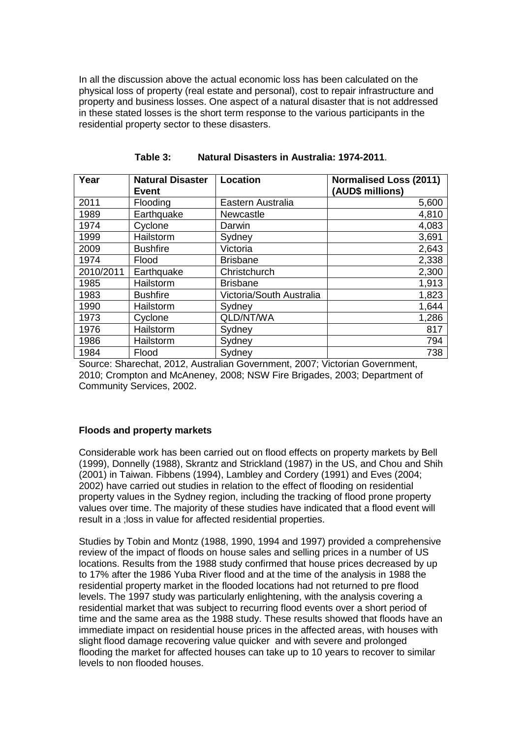In all the discussion above the actual economic loss has been calculated on the physical loss of property (real estate and personal), cost to repair infrastructure and property and business losses. One aspect of a natural disaster that is not addressed in these stated losses is the short term response to the various participants in the residential property sector to these disasters.

| Year      | <b>Natural Disaster</b><br><b>Event</b> | <b>Location</b>          | <b>Normalised Loss (2011)</b><br>(AUD\$ millions) |
|-----------|-----------------------------------------|--------------------------|---------------------------------------------------|
| 2011      | Flooding                                | Eastern Australia        | 5,600                                             |
| 1989      | Earthquake                              | Newcastle                | 4,810                                             |
| 1974      | Cyclone                                 | Darwin                   | 4,083                                             |
| 1999      | Hailstorm                               | Sydney                   | 3,691                                             |
| 2009      | <b>Bushfire</b>                         | Victoria                 | 2,643                                             |
| 1974      | Flood                                   | <b>Brisbane</b>          | 2,338                                             |
| 2010/2011 | Earthquake                              | Christchurch             | 2,300                                             |
| 1985      | Hailstorm                               | <b>Brisbane</b>          | 1,913                                             |
| 1983      | <b>Bushfire</b>                         | Victoria/South Australia | 1,823                                             |
| 1990      | Hailstorm                               | Sydney                   | 1,644                                             |
| 1973      | Cyclone                                 | QLD/NT/WA                | 1,286                                             |
| 1976      | Hailstorm                               | Sydney                   | 817                                               |
| 1986      | Hailstorm                               | Sydney                   | 794                                               |
| 1984      | Flood                                   | Sydney                   | 738                                               |

**Table 3: Natural Disasters in Australia: 1974-2011**.

Source: Sharechat, 2012, Australian Government, 2007; Victorian Government, 2010; Crompton and McAneney, 2008; NSW Fire Brigades, 2003; Department of Community Services, 2002.

#### **Floods and property markets**

Considerable work has been carried out on flood effects on property markets by Bell (1999), Donnelly (1988), Skrantz and Strickland (1987) in the US, and Chou and Shih (2001) in Taiwan. Fibbens (1994), Lambley and Cordery (1991) and Eves (2004; 2002) have carried out studies in relation to the effect of flooding on residential property values in the Sydney region, including the tracking of flood prone property values over time. The majority of these studies have indicated that a flood event will result in a ;loss in value for affected residential properties.

Studies by Tobin and Montz (1988, 1990, 1994 and 1997) provided a comprehensive review of the impact of floods on house sales and selling prices in a number of US locations. Results from the 1988 study confirmed that house prices decreased by up to 17% after the 1986 Yuba River flood and at the time of the analysis in 1988 the residential property market in the flooded locations had not returned to pre flood levels. The 1997 study was particularly enlightening, with the analysis covering a residential market that was subject to recurring flood events over a short period of time and the same area as the 1988 study. These results showed that floods have an immediate impact on residential house prices in the affected areas, with houses with slight flood damage recovering value quicker and with severe and prolonged flooding the market for affected houses can take up to 10 years to recover to similar levels to non flooded houses.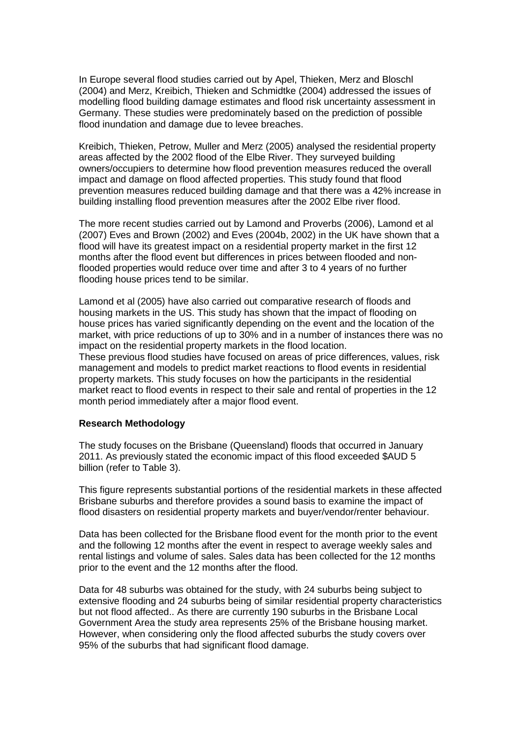In Europe several flood studies carried out by Apel, Thieken, Merz and Bloschl (2004) and Merz, Kreibich, Thieken and Schmidtke (2004) addressed the issues of modelling flood building damage estimates and flood risk uncertainty assessment in Germany. These studies were predominately based on the prediction of possible flood inundation and damage due to levee breaches.

Kreibich, Thieken, Petrow, Muller and Merz (2005) analysed the residential property areas affected by the 2002 flood of the Elbe River. They surveyed building owners/occupiers to determine how flood prevention measures reduced the overall impact and damage on flood affected properties. This study found that flood prevention measures reduced building damage and that there was a 42% increase in building installing flood prevention measures after the 2002 Elbe river flood.

The more recent studies carried out by Lamond and Proverbs (2006), Lamond et al (2007) Eves and Brown (2002) and Eves (2004b, 2002) in the UK have shown that a flood will have its greatest impact on a residential property market in the first 12 months after the flood event but differences in prices between flooded and nonflooded properties would reduce over time and after 3 to 4 years of no further flooding house prices tend to be similar.

Lamond et al (2005) have also carried out comparative research of floods and housing markets in the US. This study has shown that the impact of flooding on house prices has varied significantly depending on the event and the location of the market, with price reductions of up to 30% and in a number of instances there was no impact on the residential property markets in the flood location. These previous flood studies have focused on areas of price differences, values, risk management and models to predict market reactions to flood events in residential property markets. This study focuses on how the participants in the residential market react to flood events in respect to their sale and rental of properties in the 12 month period immediately after a major flood event.

#### **Research Methodology**

The study focuses on the Brisbane (Queensland) floods that occurred in January 2011. As previously stated the economic impact of this flood exceeded \$AUD 5 billion (refer to Table 3).

This figure represents substantial portions of the residential markets in these affected Brisbane suburbs and therefore provides a sound basis to examine the impact of flood disasters on residential property markets and buyer/vendor/renter behaviour.

Data has been collected for the Brisbane flood event for the month prior to the event and the following 12 months after the event in respect to average weekly sales and rental listings and volume of sales. Sales data has been collected for the 12 months prior to the event and the 12 months after the flood.

Data for 48 suburbs was obtained for the study, with 24 suburbs being subject to extensive flooding and 24 suburbs being of similar residential property characteristics but not flood affected.. As there are currently 190 suburbs in the Brisbane Local Government Area the study area represents 25% of the Brisbane housing market. However, when considering only the flood affected suburbs the study covers over 95% of the suburbs that had significant flood damage.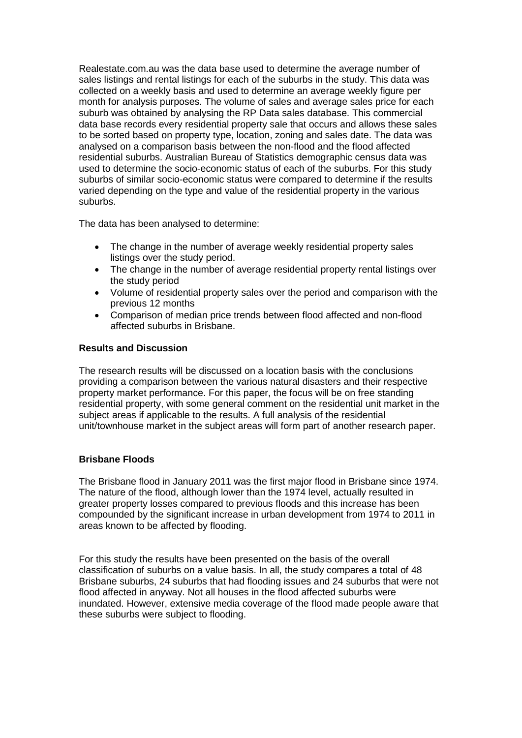Realestate.com.au was the data base used to determine the average number of sales listings and rental listings for each of the suburbs in the study. This data was collected on a weekly basis and used to determine an average weekly figure per month for analysis purposes. The volume of sales and average sales price for each suburb was obtained by analysing the RP Data sales database. This commercial data base records every residential property sale that occurs and allows these sales to be sorted based on property type, location, zoning and sales date. The data was analysed on a comparison basis between the non-flood and the flood affected residential suburbs. Australian Bureau of Statistics demographic census data was used to determine the socio-economic status of each of the suburbs. For this study suburbs of similar socio-economic status were compared to determine if the results varied depending on the type and value of the residential property in the various suburbs.

The data has been analysed to determine:

- The change in the number of average weekly residential property sales listings over the study period.
- The change in the number of average residential property rental listings over the study period
- Volume of residential property sales over the period and comparison with the previous 12 months
- Comparison of median price trends between flood affected and non-flood affected suburbs in Brisbane.

## **Results and Discussion**

The research results will be discussed on a location basis with the conclusions providing a comparison between the various natural disasters and their respective property market performance. For this paper, the focus will be on free standing residential property, with some general comment on the residential unit market in the subject areas if applicable to the results. A full analysis of the residential unit/townhouse market in the subject areas will form part of another research paper.

# **Brisbane Floods**

The Brisbane flood in January 2011 was the first major flood in Brisbane since 1974. The nature of the flood, although lower than the 1974 level, actually resulted in greater property losses compared to previous floods and this increase has been compounded by the significant increase in urban development from 1974 to 2011 in areas known to be affected by flooding.

For this study the results have been presented on the basis of the overall classification of suburbs on a value basis. In all, the study compares a total of 48 Brisbane suburbs, 24 suburbs that had flooding issues and 24 suburbs that were not flood affected in anyway. Not all houses in the flood affected suburbs were inundated. However, extensive media coverage of the flood made people aware that these suburbs were subject to flooding.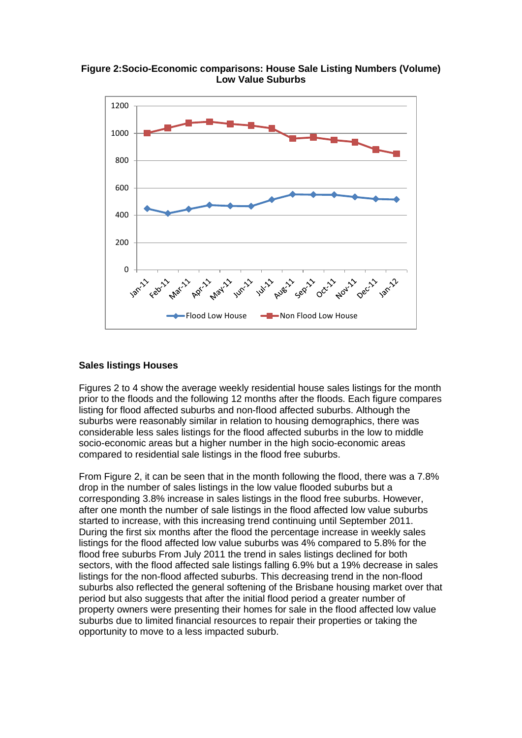**Figure 2:Socio-Economic comparisons: House Sale Listing Numbers (Volume) Low Value Suburbs**



## **Sales listings Houses**

Figures 2 to 4 show the average weekly residential house sales listings for the month prior to the floods and the following 12 months after the floods. Each figure compares listing for flood affected suburbs and non-flood affected suburbs. Although the suburbs were reasonably similar in relation to housing demographics, there was considerable less sales listings for the flood affected suburbs in the low to middle socio-economic areas but a higher number in the high socio-economic areas compared to residential sale listings in the flood free suburbs.

From Figure 2, it can be seen that in the month following the flood, there was a 7.8% drop in the number of sales listings in the low value flooded suburbs but a corresponding 3.8% increase in sales listings in the flood free suburbs. However, after one month the number of sale listings in the flood affected low value suburbs started to increase, with this increasing trend continuing until September 2011. During the first six months after the flood the percentage increase in weekly sales listings for the flood affected low value suburbs was 4% compared to 5.8% for the flood free suburbs From July 2011 the trend in sales listings declined for both sectors, with the flood affected sale listings falling 6.9% but a 19% decrease in sales listings for the non-flood affected suburbs. This decreasing trend in the non-flood suburbs also reflected the general softening of the Brisbane housing market over that period but also suggests that after the initial flood period a greater number of property owners were presenting their homes for sale in the flood affected low value suburbs due to limited financial resources to repair their properties or taking the opportunity to move to a less impacted suburb.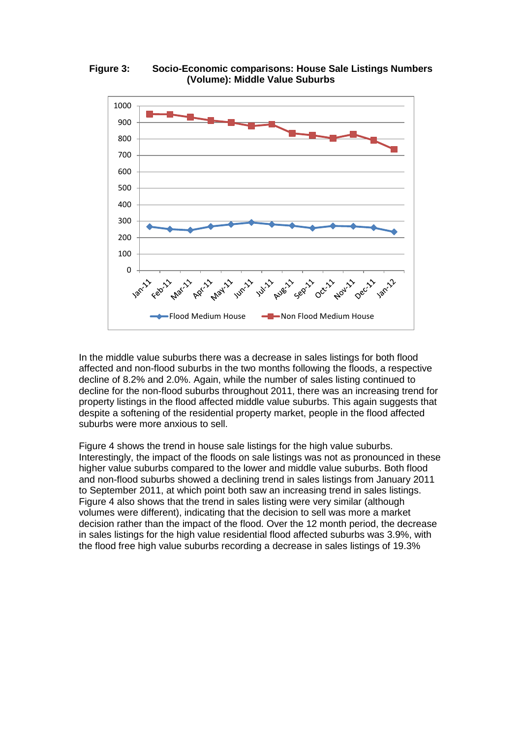**Figure 3: Socio-Economic comparisons: House Sale Listings Numbers (Volume): Middle Value Suburbs**



In the middle value suburbs there was a decrease in sales listings for both flood affected and non-flood suburbs in the two months following the floods, a respective decline of 8.2% and 2.0%. Again, while the number of sales listing continued to decline for the non-flood suburbs throughout 2011, there was an increasing trend for property listings in the flood affected middle value suburbs. This again suggests that despite a softening of the residential property market, people in the flood affected suburbs were more anxious to sell.

Figure 4 shows the trend in house sale listings for the high value suburbs. Interestingly, the impact of the floods on sale listings was not as pronounced in these higher value suburbs compared to the lower and middle value suburbs. Both flood and non-flood suburbs showed a declining trend in sales listings from January 2011 to September 2011, at which point both saw an increasing trend in sales listings. Figure 4 also shows that the trend in sales listing were very similar (although volumes were different), indicating that the decision to sell was more a market decision rather than the impact of the flood. Over the 12 month period, the decrease in sales listings for the high value residential flood affected suburbs was 3.9%, with the flood free high value suburbs recording a decrease in sales listings of 19.3%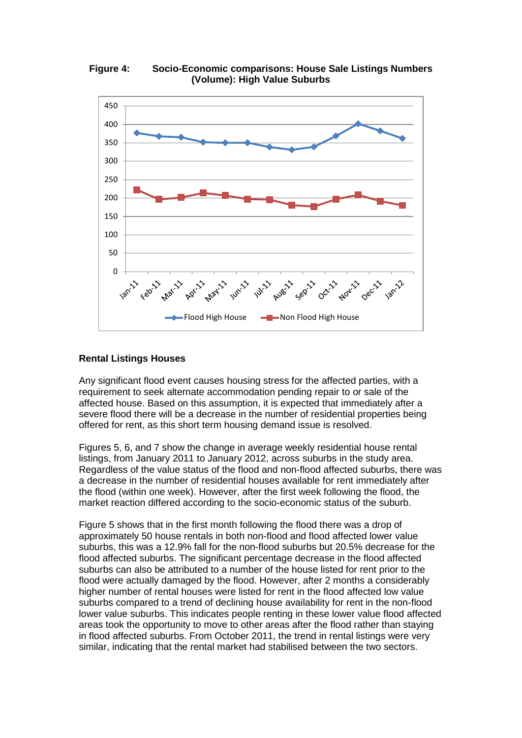**Figure 4: Socio-Economic comparisons: House Sale Listings Numbers (Volume): High Value Suburbs**



## **Rental Listings Houses**

Any significant flood event causes housing stress for the affected parties, with a requirement to seek alternate accommodation pending repair to or sale of the affected house. Based on this assumption, it is expected that immediately after a severe flood there will be a decrease in the number of residential properties being offered for rent, as this short term housing demand issue is resolved.

Figures 5, 6, and 7 show the change in average weekly residential house rental listings, from January 2011 to January 2012, across suburbs in the study area. Regardless of the value status of the flood and non-flood affected suburbs, there was a decrease in the number of residential houses available for rent immediately after the flood (within one week). However, after the first week following the flood, the market reaction differed according to the socio-economic status of the suburb.

Figure 5 shows that in the first month following the flood there was a drop of approximately 50 house rentals in both non-flood and flood affected lower value suburbs, this was a 12.9% fall for the non-flood suburbs but 20.5% decrease for the flood affected suburbs. The significant percentage decrease in the flood affected suburbs can also be attributed to a number of the house listed for rent prior to the flood were actually damaged by the flood. However, after 2 months a considerably higher number of rental houses were listed for rent in the flood affected low value suburbs compared to a trend of declining house availability for rent in the non-flood lower value suburbs. This indicates people renting in these lower value flood affected areas took the opportunity to move to other areas after the flood rather than staying in flood affected suburbs. From October 2011, the trend in rental listings were very similar, indicating that the rental market had stabilised between the two sectors.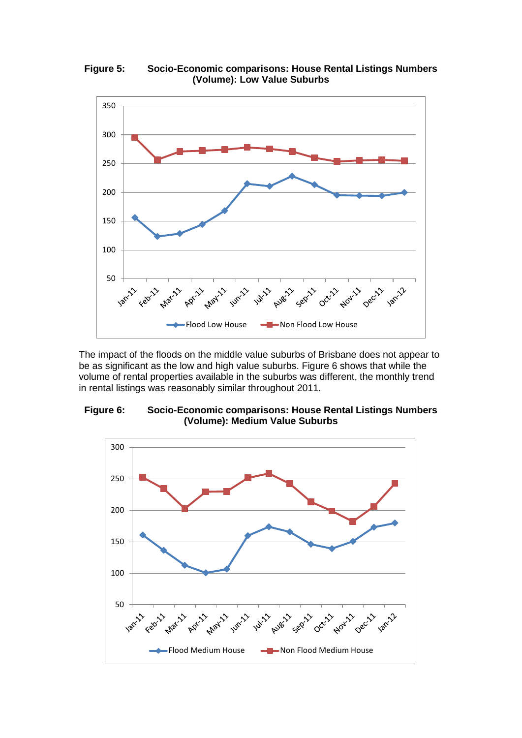**Figure 5: Socio-Economic comparisons: House Rental Listings Numbers (Volume): Low Value Suburbs**



The impact of the floods on the middle value suburbs of Brisbane does not appear to be as significant as the low and high value suburbs. Figure 6 shows that while the volume of rental properties available in the suburbs was different, the monthly trend in rental listings was reasonably similar throughout 2011.



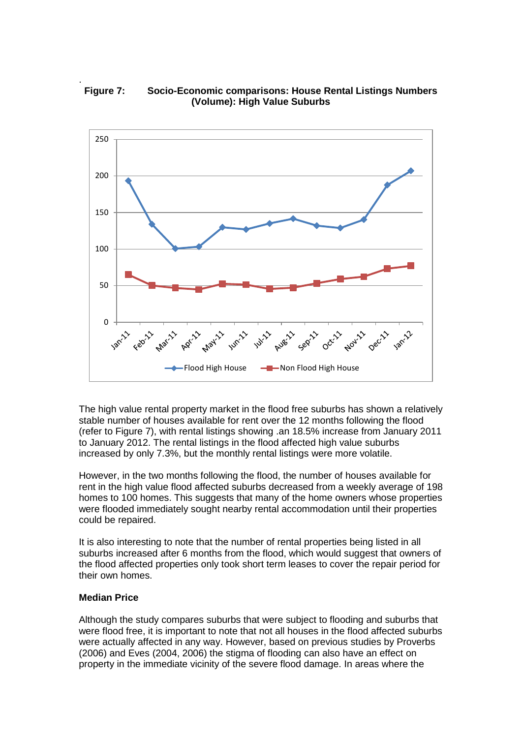#### . **Figure 7: Socio-Economic comparisons: House Rental Listings Numbers (Volume): High Value Suburbs**



The high value rental property market in the flood free suburbs has shown a relatively stable number of houses available for rent over the 12 months following the flood (refer to Figure 7), with rental listings showing .an 18.5% increase from January 2011 to January 2012. The rental listings in the flood affected high value suburbs increased by only 7.3%, but the monthly rental listings were more volatile.

However, in the two months following the flood, the number of houses available for rent in the high value flood affected suburbs decreased from a weekly average of 198 homes to 100 homes. This suggests that many of the home owners whose properties were flooded immediately sought nearby rental accommodation until their properties could be repaired.

It is also interesting to note that the number of rental properties being listed in all suburbs increased after 6 months from the flood, which would suggest that owners of the flood affected properties only took short term leases to cover the repair period for their own homes.

# **Median Price**

Although the study compares suburbs that were subject to flooding and suburbs that were flood free, it is important to note that not all houses in the flood affected suburbs were actually affected in any way. However, based on previous studies by Proverbs (2006) and Eves (2004, 2006) the stigma of flooding can also have an effect on property in the immediate vicinity of the severe flood damage. In areas where the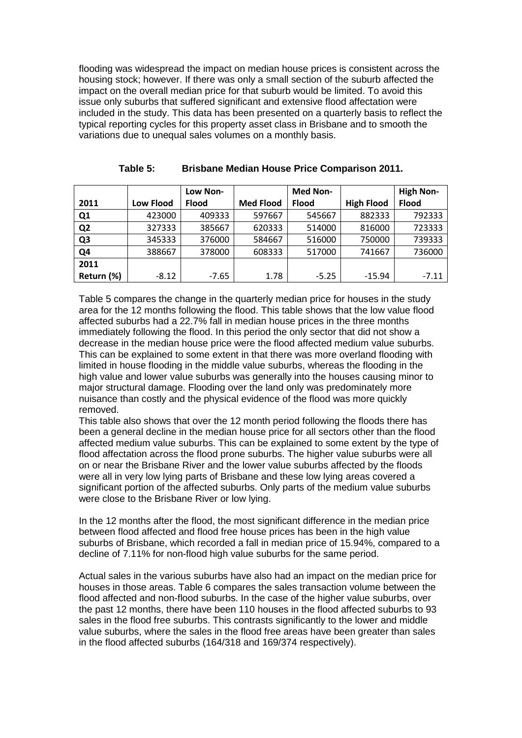flooding was widespread the impact on median house prices is consistent across the housing stock; however. If there was only a small section of the suburb affected the impact on the overall median price for that suburb would be limited. To avoid this issue only suburbs that suffered significant and extensive flood affectation were included in the study. This data has been presented on a quarterly basis to reflect the typical reporting cycles for this property asset class in Brisbane and to smooth the variations due to unequal sales volumes on a monthly basis.

|                |                  | Low Non-     |                  | <b>Med Non-</b> |                   | <b>High Non-</b> |
|----------------|------------------|--------------|------------------|-----------------|-------------------|------------------|
| 2011           | <b>Low Flood</b> | <b>Flood</b> | <b>Med Flood</b> | <b>Flood</b>    | <b>High Flood</b> | <b>Flood</b>     |
| Q1             | 423000           | 409333       | 597667           | 545667          | 882333            | 792333           |
| Q <sub>2</sub> | 327333           | 385667       | 620333           | 514000          | 816000            | 723333           |
| Q <sub>3</sub> | 345333           | 376000       | 584667           | 516000          | 750000            | 739333           |
| Q4             | 388667           | 378000       | 608333           | 517000          | 741667            | 736000           |
| 2011           |                  |              |                  |                 |                   |                  |
| Return (%)     | $-8.12$          | $-7.65$      | 1.78             | $-5.25$         | $-15.94$          | $-7.11$          |

| Table 5: | <b>Brisbane Median House Price Comparison 2011.</b> |  |  |
|----------|-----------------------------------------------------|--|--|
|          |                                                     |  |  |

Table 5 compares the change in the quarterly median price for houses in the study area for the 12 months following the flood. This table shows that the low value flood affected suburbs had a 22.7% fall in median house prices in the three months immediately following the flood. In this period the only sector that did not show a decrease in the median house price were the flood affected medium value suburbs. This can be explained to some extent in that there was more overland flooding with limited in house flooding in the middle value suburbs, whereas the flooding in the high value and lower value suburbs was generally into the houses causing minor to major structural damage. Flooding over the land only was predominately more nuisance than costly and the physical evidence of the flood was more quickly removed.

This table also shows that over the 12 month period following the floods there has been a general decline in the median house price for all sectors other than the flood affected medium value suburbs. This can be explained to some extent by the type of flood affectation across the flood prone suburbs. The higher value suburbs were all on or near the Brisbane River and the lower value suburbs affected by the floods were all in very low lying parts of Brisbane and these low lying areas covered a significant portion of the affected suburbs. Only parts of the medium value suburbs were close to the Brisbane River or low lying.

In the 12 months after the flood, the most significant difference in the median price between flood affected and flood free house prices has been in the high value suburbs of Brisbane, which recorded a fall in median price of 15.94%, compared to a decline of 7.11% for non-flood high value suburbs for the same period.

Actual sales in the various suburbs have also had an impact on the median price for houses in those areas. Table 6 compares the sales transaction volume between the flood affected and non-flood suburbs. In the case of the higher value suburbs, over the past 12 months, there have been 110 houses in the flood affected suburbs to 93 sales in the flood free suburbs. This contrasts significantly to the lower and middle value suburbs, where the sales in the flood free areas have been greater than sales in the flood affected suburbs (164/318 and 169/374 respectively).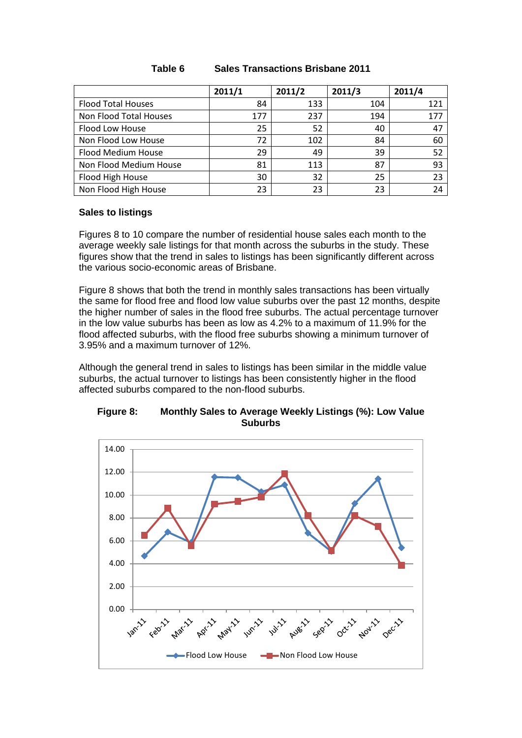|                           | 2011/1 | 2011/2 | 2011/3 | 2011/4 |
|---------------------------|--------|--------|--------|--------|
| <b>Flood Total Houses</b> | 84     | 133    | 104    | 121    |
| Non Flood Total Houses    | 177    | 237    | 194    | 177    |
| Flood Low House           | 25     | 52     | 40     | 47     |
| Non Flood Low House       | 72     | 102    | 84     | 60     |
| Flood Medium House        | 29     | 49     | 39     | 52     |
| Non Flood Medium House    | 81     | 113    | 87     | 93     |
| Flood High House          | 30     | 32     | 25     | 23     |
| Non Flood High House      | 23     | 23     | 23     | 24     |

# **Table 6 Sales Transactions Brisbane 2011**

# **Sales to listings**

Figures 8 to 10 compare the number of residential house sales each month to the average weekly sale listings for that month across the suburbs in the study. These figures show that the trend in sales to listings has been significantly different across the various socio-economic areas of Brisbane.

Figure 8 shows that both the trend in monthly sales transactions has been virtually the same for flood free and flood low value suburbs over the past 12 months, despite the higher number of sales in the flood free suburbs. The actual percentage turnover in the low value suburbs has been as low as 4.2% to a maximum of 11.9% for the flood affected suburbs, with the flood free suburbs showing a minimum turnover of 3.95% and a maximum turnover of 12%.

Although the general trend in sales to listings has been similar in the middle value suburbs, the actual turnover to listings has been consistently higher in the flood affected suburbs compared to the non-flood suburbs.



**Figure 8: Monthly Sales to Average Weekly Listings (%): Low Value Suburbs**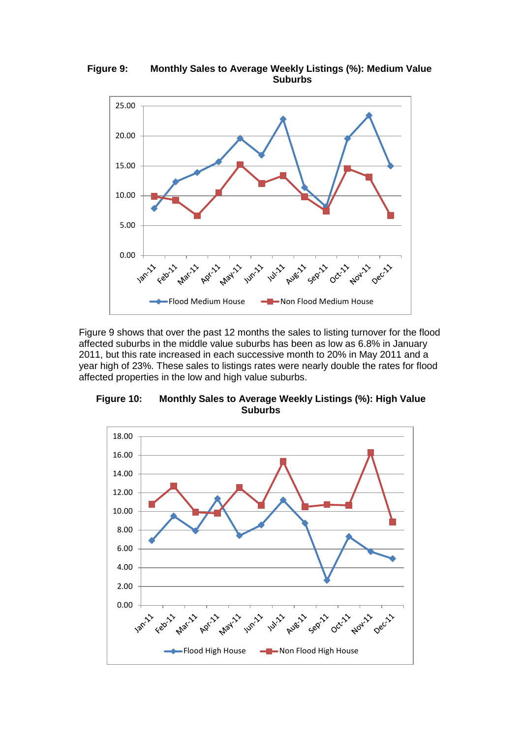

**Figure 9: Monthly Sales to Average Weekly Listings (%): Medium Value Suburbs**

Figure 9 shows that over the past 12 months the sales to listing turnover for the flood affected suburbs in the middle value suburbs has been as low as 6.8% in January 2011, but this rate increased in each successive month to 20% in May 2011 and a year high of 23%. These sales to listings rates were nearly double the rates for flood affected properties in the low and high value suburbs.

**Figure 10: Monthly Sales to Average Weekly Listings (%): High Value Suburbs**

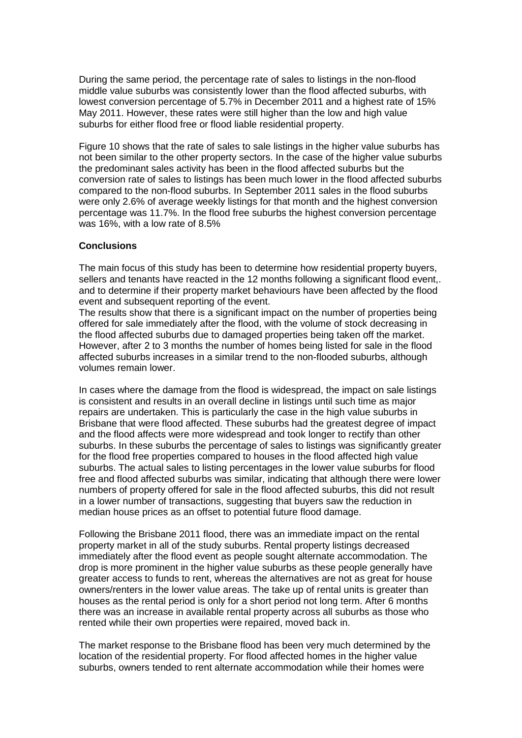During the same period, the percentage rate of sales to listings in the non-flood middle value suburbs was consistently lower than the flood affected suburbs, with lowest conversion percentage of 5.7% in December 2011 and a highest rate of 15% May 2011. However, these rates were still higher than the low and high value suburbs for either flood free or flood liable residential property.

Figure 10 shows that the rate of sales to sale listings in the higher value suburbs has not been similar to the other property sectors. In the case of the higher value suburbs the predominant sales activity has been in the flood affected suburbs but the conversion rate of sales to listings has been much lower in the flood affected suburbs compared to the non-flood suburbs. In September 2011 sales in the flood suburbs were only 2.6% of average weekly listings for that month and the highest conversion percentage was 11.7%. In the flood free suburbs the highest conversion percentage was 16%, with a low rate of 8.5%

## **Conclusions**

The main focus of this study has been to determine how residential property buyers, sellers and tenants have reacted in the 12 months following a significant flood event,. and to determine if their property market behaviours have been affected by the flood event and subsequent reporting of the event.

The results show that there is a significant impact on the number of properties being offered for sale immediately after the flood, with the volume of stock decreasing in the flood affected suburbs due to damaged properties being taken off the market. However, after 2 to 3 months the number of homes being listed for sale in the flood affected suburbs increases in a similar trend to the non-flooded suburbs, although volumes remain lower.

In cases where the damage from the flood is widespread, the impact on sale listings is consistent and results in an overall decline in listings until such time as major repairs are undertaken. This is particularly the case in the high value suburbs in Brisbane that were flood affected. These suburbs had the greatest degree of impact and the flood affects were more widespread and took longer to rectify than other suburbs. In these suburbs the percentage of sales to listings was significantly greater for the flood free properties compared to houses in the flood affected high value suburbs. The actual sales to listing percentages in the lower value suburbs for flood free and flood affected suburbs was similar, indicating that although there were lower numbers of property offered for sale in the flood affected suburbs, this did not result in a lower number of transactions, suggesting that buyers saw the reduction in median house prices as an offset to potential future flood damage.

Following the Brisbane 2011 flood, there was an immediate impact on the rental property market in all of the study suburbs. Rental property listings decreased immediately after the flood event as people sought alternate accommodation. The drop is more prominent in the higher value suburbs as these people generally have greater access to funds to rent, whereas the alternatives are not as great for house owners/renters in the lower value areas. The take up of rental units is greater than houses as the rental period is only for a short period not long term. After 6 months there was an increase in available rental property across all suburbs as those who rented while their own properties were repaired, moved back in.

The market response to the Brisbane flood has been very much determined by the location of the residential property. For flood affected homes in the higher value suburbs, owners tended to rent alternate accommodation while their homes were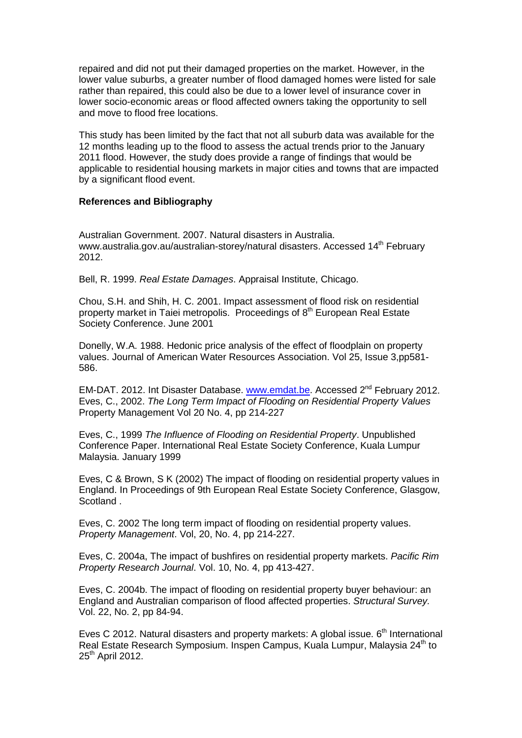repaired and did not put their damaged properties on the market. However, in the lower value suburbs, a greater number of flood damaged homes were listed for sale rather than repaired, this could also be due to a lower level of insurance cover in lower socio-economic areas or flood affected owners taking the opportunity to sell and move to flood free locations.

This study has been limited by the fact that not all suburb data was available for the 12 months leading up to the flood to assess the actual trends prior to the January 2011 flood. However, the study does provide a range of findings that would be applicable to residential housing markets in major cities and towns that are impacted by a significant flood event.

#### **References and Bibliography**

Australian Government. 2007. Natural disasters in Australia. www.australia.gov.au/australian-storey/natural disasters. Accessed 14<sup>th</sup> February 2012.

Bell, R. 1999. *Real Estate Damages*. Appraisal Institute, Chicago.

Chou, S.H. and Shih, H. C. 2001. Impact assessment of flood risk on residential property market in Taiei metropolis. Proceedings of 8<sup>th</sup> European Real Estate Society Conference. June 2001

Donelly, W.A. 1988. Hedonic price analysis of the effect of floodplain on property values. Journal of American Water Resources Association. Vol 25, Issue 3,pp581- 586.

EM-DAT. 2012. Int Disaster Database. [www.emdat.be.](http://www.emdat.be/) Accessed 2<sup>nd</sup> February 2012. Eves, C., 2002. *The Long Term Impact of Flooding on Residential Property Values* Property Management Vol 20 No. 4, pp 214-227

Eves, C., 1999 *The Influence of Flooding on Residential Property*. Unpublished Conference Paper. International Real Estate Society Conference, Kuala Lumpur Malaysia. January 1999

Eves, C & Brown, S K (2002) The impact of flooding on residential property values in England. In Proceedings of 9th European Real Estate Society Conference, Glasgow, Scotland .

Eves, C. 2002 The long term impact of flooding on residential property values. *Property Management*. Vol, 20, No. 4, pp 214-227.

Eves, C. 2004a, The impact of bushfires on residential property markets. *Pacific Rim Property Research Journal*. Vol. 10, No. 4, pp 413-427.

Eves, C. 2004b. The impact of flooding on residential property buyer behaviour: an England and Australian comparison of flood affected properties. *Structural Survey.*  Vol. 22, No. 2, pp 84-94.

Eves C 2012. Natural disasters and property markets: A global issue. 6<sup>th</sup> International Real Estate Research Symposium. Inspen Campus, Kuala Lumpur, Malaysia 24<sup>th</sup> to 25<sup>th</sup> April 2012.